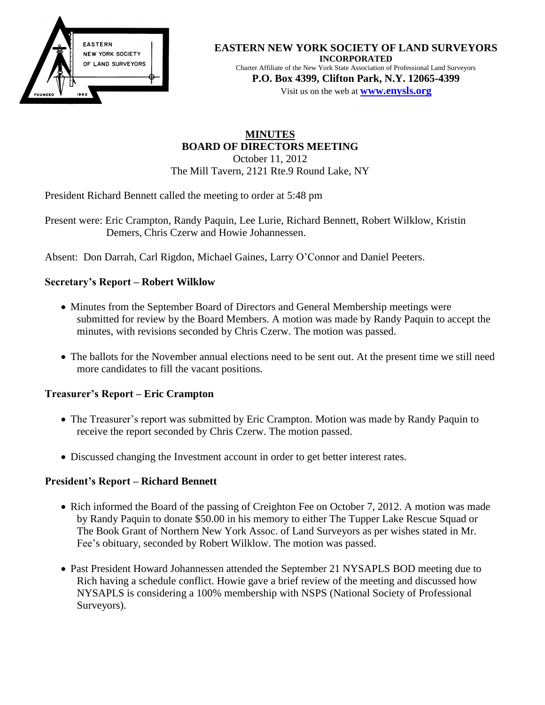

#### **EASTERN NEW YORK SOCIETY OF LAND SURVEYORS INCORPORATED** Charter Affiliate of the New York State Association of Professional Land Surveyors **P.O. Box 4399, Clifton Park, N.Y. 12065-4399**

Visit us on the web at **[www.e](http://www.enysls.org/)nysls.org**

## **MINUTES BOARD OF DIRECTORS MEETING** October 11, 2012 The Mill Tavern, 2121 Rte.9 Round Lake, NY

President Richard Bennett called the meeting to order at 5:48 pm

Present were: Eric Crampton, Randy Paquin, Lee Lurie, Richard Bennett, Robert Wilklow, Kristin Demers, Chris Czerw and Howie Johannessen.

Absent: Don Darrah, Carl Rigdon, Michael Gaines, Larry O'Connor and Daniel Peeters.

# **Secretary's Report – Robert Wilklow**

- Minutes from the September Board of Directors and General Membership meetings were submitted for review by the Board Members. A motion was made by Randy Paquin to accept the minutes, with revisions seconded by Chris Czerw. The motion was passed.
- The ballots for the November annual elections need to be sent out. At the present time we still need more candidates to fill the vacant positions.

### **Treasurer's Report – Eric Crampton**

- The Treasurer's report was submitted by Eric Crampton. Motion was made by Randy Paquin to receive the report seconded by Chris Czerw. The motion passed.
- Discussed changing the Investment account in order to get better interest rates.

### **President's Report – Richard Bennett**

- Rich informed the Board of the passing of Creighton Fee on October 7, 2012. A motion was made by Randy Paquin to donate \$50.00 in his memory to either The Tupper Lake Rescue Squad or The Book Grant of Northern New York Assoc. of Land Surveyors as per wishes stated in Mr. Fee's obituary, seconded by Robert Wilklow. The motion was passed.
- Past President Howard Johannessen attended the September 21 NYSAPLS BOD meeting due to Rich having a schedule conflict. Howie gave a brief review of the meeting and discussed how NYSAPLS is considering a 100% membership with NSPS (National Society of Professional Surveyors).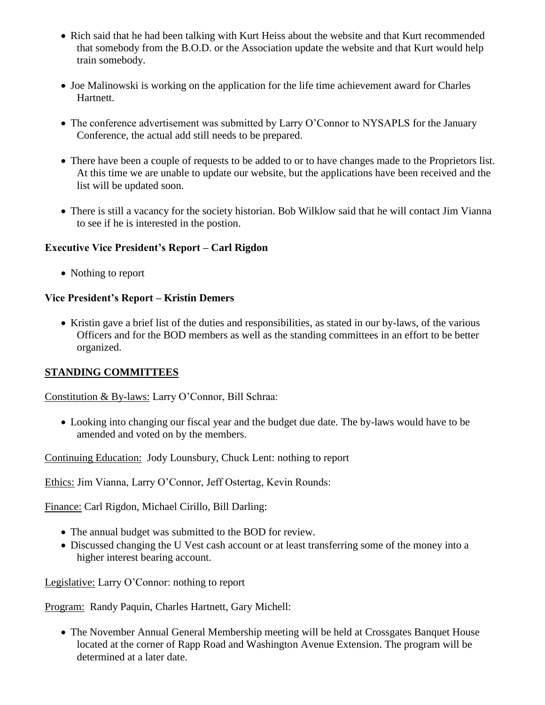- Rich said that he had been talking with Kurt Heiss about the website and that Kurt recommended that somebody from the B.O.D. or the Association update the website and that Kurt would help train somebody.
- Joe Malinowski is working on the application for the life time achievement award for Charles Hartnett.
- The conference advertisement was submitted by Larry O'Connor to NYSAPLS for the January Conference, the actual add still needs to be prepared.
- There have been a couple of requests to be added to or to have changes made to the Proprietors list. At this time we are unable to update our website, but the applications have been received and the list will be updated soon.
- There is still a vacancy for the society historian. Bob Wilklow said that he will contact Jim Vianna to see if he is interested in the postion.

### **Executive Vice President's Report – Carl Rigdon**

• Nothing to report

# **Vice President's Report – Kristin Demers**

• Kristin gave a brief list of the duties and responsibilities, as stated in our by-laws, of the various Officers and for the BOD members as well as the standing committees in an effort to be better organized.

### **STANDING COMMITTEES**

Constitution & By-laws: Larry O'Connor, Bill Schraa:

 Looking into changing our fiscal year and the budget due date. The by-laws would have to be amended and voted on by the members.

Continuing Education: Jody Lounsbury, Chuck Lent: nothing to report

Ethics: Jim Vianna, Larry O'Connor, Jeff Ostertag, Kevin Rounds:

Finance: Carl Rigdon, Michael Cirillo, Bill Darling:

- The annual budget was submitted to the BOD for review.
- Discussed changing the U Vest cash account or at least transferring some of the money into a higher interest bearing account.

Legislative: Larry O'Connor: nothing to report

Program: Randy Paquin, Charles Hartnett, Gary Michell:

 The November Annual General Membership meeting will be held at Crossgates Banquet House located at the corner of Rapp Road and Washington Avenue Extension. The program will be determined at a later date.